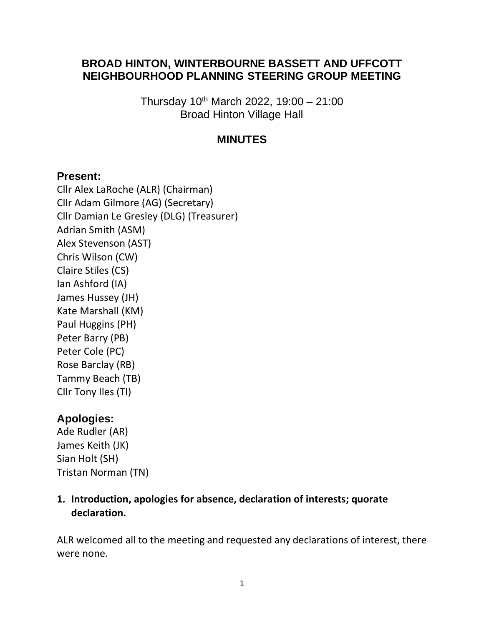#### **BROAD HINTON, WINTERBOURNE BASSETT AND UFFCOTT NEIGHBOURHOOD PLANNING STEERING GROUP MEETING**

Thursday  $10^{th}$  March 2022,  $19:00 - 21:00$ Broad Hinton Village Hall

#### **MINUTES**

#### **Present:**

Cllr Alex LaRoche (ALR) (Chairman) Cllr Adam Gilmore (AG) (Secretary) Cllr Damian Le Gresley (DLG) (Treasurer) Adrian Smith (ASM) Alex Stevenson (AST) Chris Wilson (CW) Claire Stiles (CS) Ian Ashford (IA) James Hussey (JH) Kate Marshall (KM) Paul Huggins (PH) Peter Barry (PB) Peter Cole (PC) Rose Barclay (RB) Tammy Beach (TB) Cllr Tony Iles (TI)

## **Apologies:**

Ade Rudler (AR) James Keith (JK) Sian Holt (SH) Tristan Norman (TN)

**1. Introduction, apologies for absence, declaration of interests; quorate declaration.** 

ALR welcomed all to the meeting and requested any declarations of interest, there were none.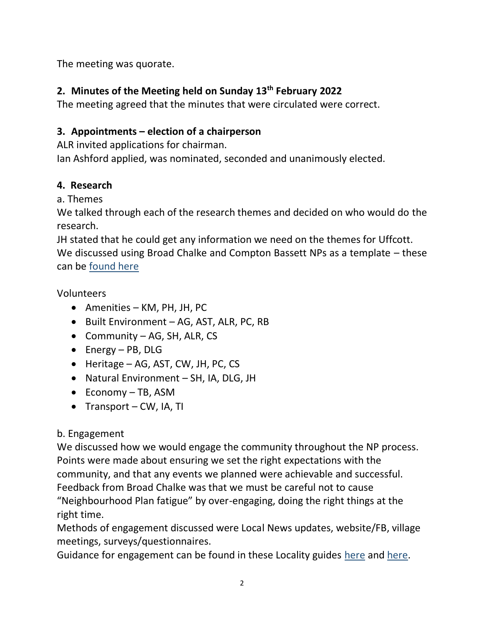The meeting was quorate.

## **2. Minutes of the Meeting held on Sunday 13th February 2022**

The meeting agreed that the minutes that were circulated were correct.

## **3. Appointments – election of a chairperson**

ALR invited applications for chairman.

Ian Ashford applied, was nominated, seconded and unanimously elected.

## **4. Research**

a. Themes

We talked through each of the research themes and decided on who would do the research.

JH stated that he could get any information we need on the themes for Uffcott. We discussed using Broad Chalke and Compton Bassett NPs as a template – these can be [found here](https://bhwbpc.sharepoint.com/:f:/r/sites/NeighbourhoodPlan/Shared%20Documents/Other%20Neighbourhood%20Plan%20docs?csf=1&web=1&e=zD3944)

Volunteers

- Amenities KM, PH, JH, PC
- Built Environment AG, AST, ALR, PC, RB
- Community AG, SH, ALR, CS
- Energy PB, DLG
- Heritage AG, AST, CW, JH, PC, CS
- Natural Environment SH, IA, DLG, JH
- Economy TB, ASM
- Transport CW, IA, TI

# b. Engagement

We discussed how we would engage the community throughout the NP process. Points were made about ensuring we set the right expectations with the community, and that any events we planned were achievable and successful. Feedback from Broad Chalke was that we must be careful not to cause "Neighbourhood Plan fatigue" by over-engaging, doing the right things at the right time.

Methods of engagement discussed were Local News updates, website/FB, village meetings, surveys/questionnaires.

Guidance for engagement can be found in these Locality guides [here](https://bhwbpc.sharepoint.com/:b:/r/sites/NeighbourhoodPlan/Shared%20Documents/Guides/Locality%20-%20How%20to%20create%20a%20Neighbourhood%20Plan%20-%20Your%20step%20by%20step%20roadmap%20guide.pdf?csf=1&web=1&e=DEr5Qw) and [here.](https://bhwbpc.sharepoint.com/:b:/r/sites/NeighbourhoodPlan/Shared%20Documents/Guides/Locality%20-%20Keeping%20your%20neighbourhood%20plan%20simple.pdf?csf=1&web=1&e=eZmd7O)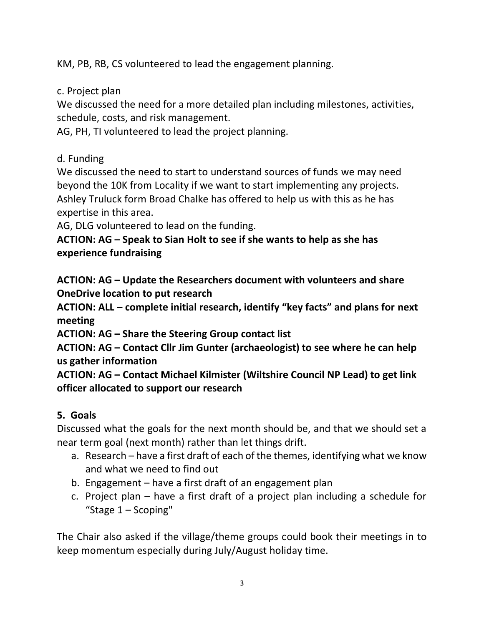KM, PB, RB, CS volunteered to lead the engagement planning.

c. Project plan

We discussed the need for a more detailed plan including milestones, activities, schedule, costs, and risk management.

AG, PH, TI volunteered to lead the project planning.

d. Funding

We discussed the need to start to understand sources of funds we may need beyond the 10K from Locality if we want to start implementing any projects. Ashley Truluck form Broad Chalke has offered to help us with this as he has expertise in this area.

AG, DLG volunteered to lead on the funding.

**ACTION: AG – Speak to Sian Holt to see if she wants to help as she has experience fundraising**

**ACTION: AG – Update the Researchers document with volunteers and share OneDrive location to put research**

**ACTION: ALL – complete initial research, identify "key facts" and plans for next meeting**

**ACTION: AG – Share the Steering Group contact list**

**ACTION: AG – Contact Cllr Jim Gunter (archaeologist) to see where he can help us gather information**

**ACTION: AG – Contact Michael Kilmister (Wiltshire Council NP Lead) to get link officer allocated to support our research**

# **5. Goals**

Discussed what the goals for the next month should be, and that we should set a near term goal (next month) rather than let things drift.

- a. Research have a first draft of each of the themes, identifying what we know and what we need to find out
- b. Engagement have a first draft of an engagement plan
- c. Project plan have a first draft of a project plan including a schedule for "Stage 1 – Scoping"

The Chair also asked if the village/theme groups could book their meetings in to keep momentum especially during July/August holiday time.